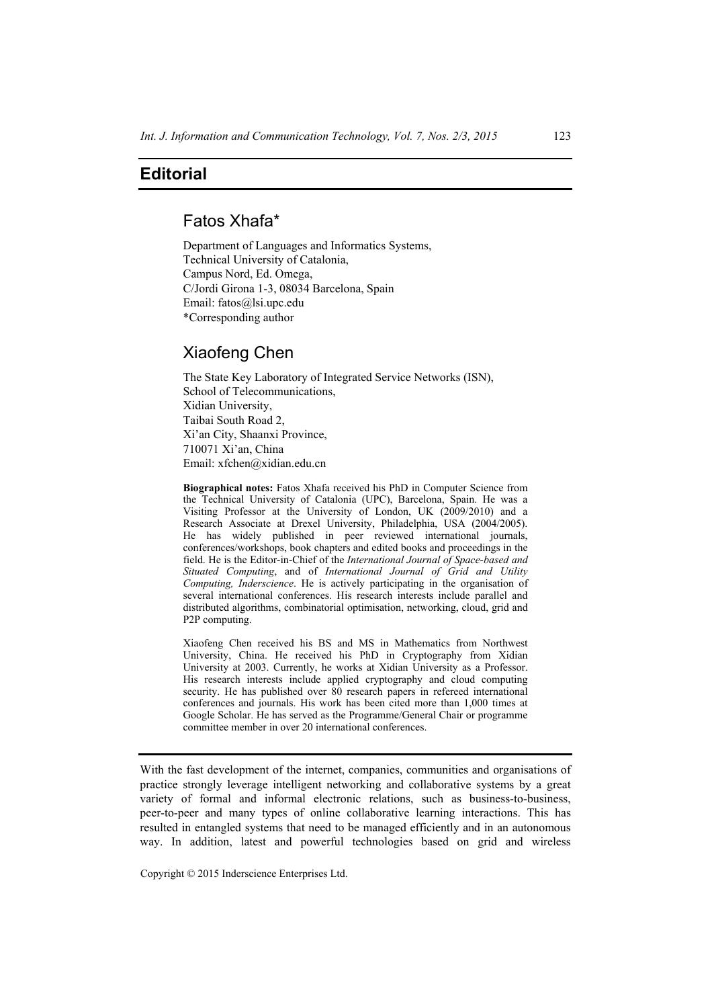## **Editorial**

# Fatos Xhafa\*

Department of Languages and Informatics Systems, Technical University of Catalonia, Campus Nord, Ed. Omega, C/Jordi Girona 1-3, 08034 Barcelona, Spain Email: fatos@lsi.upc.edu \*Corresponding author

## Xiaofeng Chen

The State Key Laboratory of Integrated Service Networks (ISN), School of Telecommunications, Xidian University, Taibai South Road 2, Xi'an City, Shaanxi Province, 710071 Xi'an, China Email: xfchen@xidian.edu.cn

**Biographical notes:** Fatos Xhafa received his PhD in Computer Science from the Technical University of Catalonia (UPC), Barcelona, Spain. He was a Visiting Professor at the University of London, UK (2009/2010) and a Research Associate at Drexel University, Philadelphia, USA (2004/2005). He has widely published in peer reviewed international journals, conferences/workshops, book chapters and edited books and proceedings in the field. He is the Editor-in-Chief of the *International Journal of Space-based and Situated Computing*, and of *International Journal of Grid and Utility Computing, Inderscience*. He is actively participating in the organisation of several international conferences. His research interests include parallel and distributed algorithms, combinatorial optimisation, networking, cloud, grid and P2P computing.

Xiaofeng Chen received his BS and MS in Mathematics from Northwest University, China. He received his PhD in Cryptography from Xidian University at 2003. Currently, he works at Xidian University as a Professor. His research interests include applied cryptography and cloud computing security. He has published over 80 research papers in refereed international conferences and journals. His work has been cited more than 1,000 times at Google Scholar. He has served as the Programme/General Chair or programme committee member in over 20 international conferences.

With the fast development of the internet, companies, communities and organisations of practice strongly leverage intelligent networking and collaborative systems by a great variety of formal and informal electronic relations, such as business-to-business, peer-to-peer and many types of online collaborative learning interactions. This has resulted in entangled systems that need to be managed efficiently and in an autonomous way. In addition, latest and powerful technologies based on grid and wireless

Copyright © 2015 Inderscience Enterprises Ltd.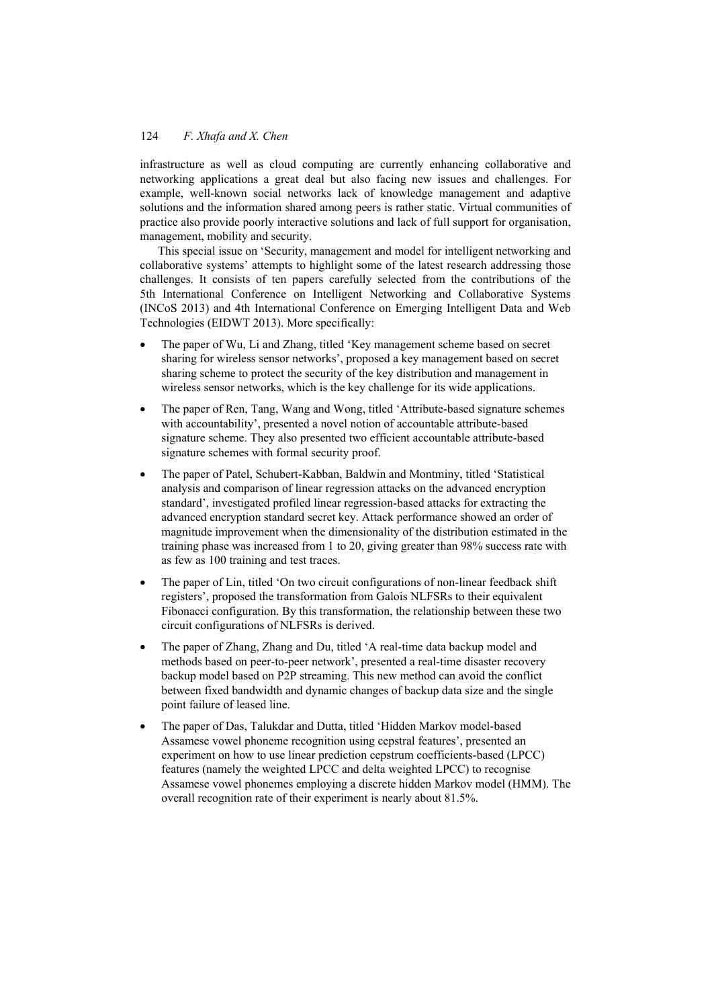### 124 *F. Xhafa and X. Chen*

infrastructure as well as cloud computing are currently enhancing collaborative and networking applications a great deal but also facing new issues and challenges. For example, well-known social networks lack of knowledge management and adaptive solutions and the information shared among peers is rather static. Virtual communities of practice also provide poorly interactive solutions and lack of full support for organisation, management, mobility and security.

This special issue on 'Security, management and model for intelligent networking and collaborative systems' attempts to highlight some of the latest research addressing those challenges. It consists of ten papers carefully selected from the contributions of the 5th International Conference on Intelligent Networking and Collaborative Systems (INCoS 2013) and 4th International Conference on Emerging Intelligent Data and Web Technologies (EIDWT 2013). More specifically:

- The paper of Wu, Li and Zhang, titled 'Key management scheme based on secret sharing for wireless sensor networks', proposed a key management based on secret sharing scheme to protect the security of the key distribution and management in wireless sensor networks, which is the key challenge for its wide applications.
- The paper of Ren, Tang, Wang and Wong, titled 'Attribute-based signature schemes with accountability', presented a novel notion of accountable attribute-based signature scheme. They also presented two efficient accountable attribute-based signature schemes with formal security proof.
- The paper of Patel, Schubert-Kabban, Baldwin and Montminy, titled 'Statistical analysis and comparison of linear regression attacks on the advanced encryption standard', investigated profiled linear regression-based attacks for extracting the advanced encryption standard secret key. Attack performance showed an order of magnitude improvement when the dimensionality of the distribution estimated in the training phase was increased from 1 to 20, giving greater than 98% success rate with as few as 100 training and test traces.
- The paper of Lin, titled 'On two circuit configurations of non-linear feedback shift registers', proposed the transformation from Galois NLFSRs to their equivalent Fibonacci configuration. By this transformation, the relationship between these two circuit configurations of NLFSRs is derived.
- The paper of Zhang, Zhang and Du, titled 'A real-time data backup model and methods based on peer-to-peer network', presented a real-time disaster recovery backup model based on P2P streaming. This new method can avoid the conflict between fixed bandwidth and dynamic changes of backup data size and the single point failure of leased line.
- The paper of Das, Talukdar and Dutta, titled 'Hidden Markov model-based Assamese vowel phoneme recognition using cepstral features', presented an experiment on how to use linear prediction cepstrum coefficients-based (LPCC) features (namely the weighted LPCC and delta weighted LPCC) to recognise Assamese vowel phonemes employing a discrete hidden Markov model (HMM). The overall recognition rate of their experiment is nearly about 81.5%.